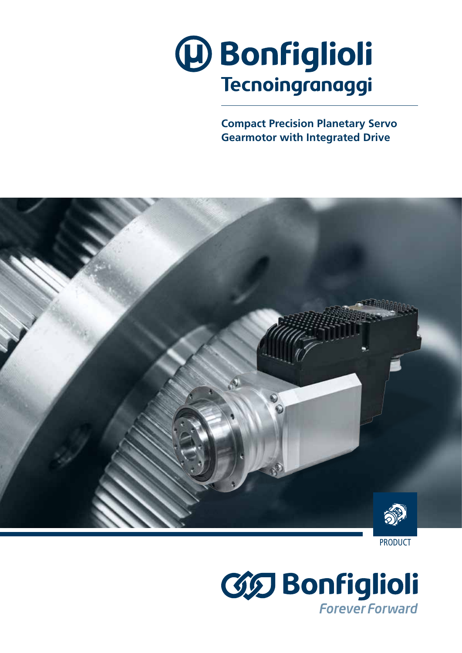

**Compact Precision Planetary Servo Gearmotor with Integrated Drive**





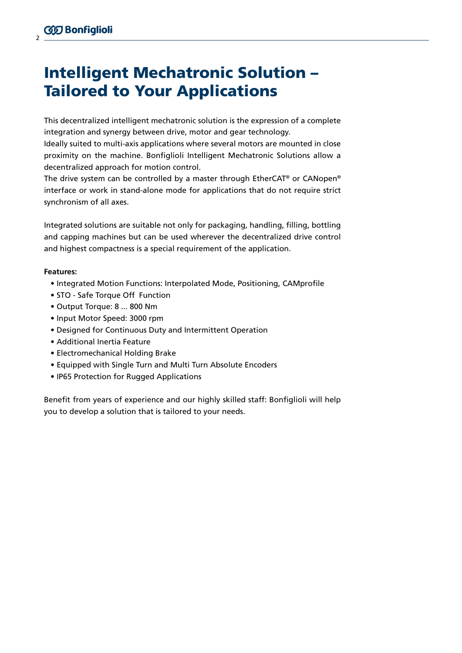# Intelligent Mechatronic Solution – Tailored to Your Applications

This decentralized intelligent mechatronic solution is the expression of a complete integration and synergy between drive, motor and gear technology.

Ideally suited to multi-axis applications where several motors are mounted in close proximity on the machine. Bonfiglioli Intelligent Mechatronic Solutions allow a decentralized approach for motion control.

The drive system can be controlled by a master through EtherCAT® or CANopen® interface or work in stand-alone mode for applications that do not require strict synchronism of all axes.

Integrated solutions are suitable not only for packaging, handling, filling, bottling and capping machines but can be used wherever the decentralized drive control and highest compactness is a special requirement of the application.

#### **Features:**

- Integrated Motion Functions: Interpolated Mode, Positioning, CAMprofile
- STO Safe Torque Off Function
- Output Torque: 8 ... 800 Nm
- Input Motor Speed: 3000 rpm
- Designed for Continuous Duty and Intermittent Operation
- Additional Inertia Feature
- Electromechanical Holding Brake
- Equipped with Single Turn and Multi Turn Absolute Encoders
- IP65 Protection for Rugged Applications

Benefit from years of experience and our highly skilled staff: Bonfiglioli will help you to develop a solution that is tailored to your needs.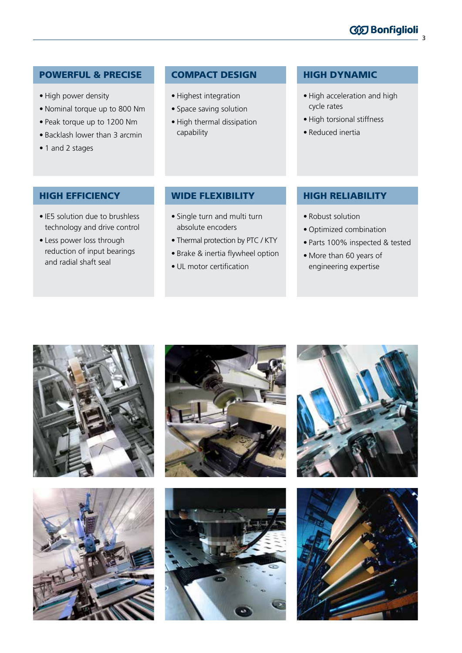### POWERFUL & PRECISE

- High power density
- Nominal torque up to 800 Nm
- Peak torque up to 1200 Nm
- Backlash lower than 3 arcmin
- 1 and 2 stages

#### COMPACT DESIGN

- Highest integration
- Space saving solution
- High thermal dissipation capability

#### HIGH DYNAMIC

• High acceleration and high cycle rates

3

**60 Bonfiglioli** 

- High torsional stiffness
- Reduced inertia

### HIGH EFFICIENCY

- IE5 solution due to brushless technology and drive control
- Less power loss through reduction of input bearings and radial shaft seal

#### WIDE FLEXIBILITY

- Single turn and multi turn absolute encoders
- Thermal protection by PTC / KTY
- Brake & inertia flywheel option
- UL motor certification

## HIGH RELIABILITY

- Robust solution
- Optimized combination
- Parts 100% inspected & tested
- More than 60 years of engineering expertise